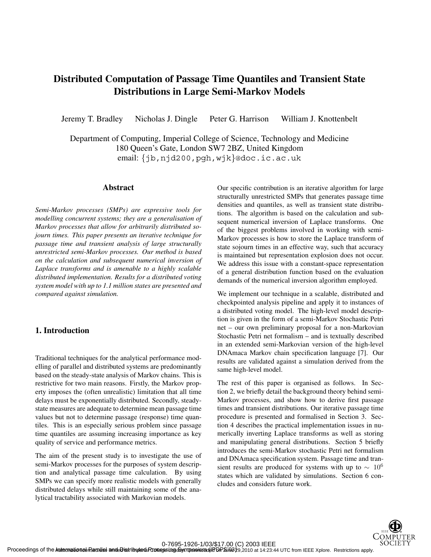# **Distributed Computation of Passage Time Quantiles and Transient State Distributions in Large Semi-Markov Models**

Jeremy T. Bradley Nicholas J. Dingle Peter G. Harrison William J. Knottenbelt

Department of Computing, Imperial College of Science, Technology and Medicine 180 Queen's Gate, London SW7 2BZ, United Kingdom email: *{*jb,njd200,pgh,wjk*}*@doc.ic.ac.uk

## **Abstract**

*Semi-Markov processes (SMPs) are expressive tools for modelling concurrent systems; they are a generalisation of Markov processes that allow for arbitrarily distributed sojourn times. This paper presents an iterative technique for passage time and transient analysis of large structurally unrestricted semi-Markov processes. Our method is based on the calculation and subsequent numerical inversion of Laplace transforms and is amenable to a highly scalable distributed implementation. Results for a distributed voting system model with up to 1.1 million states are presented and compared against simulation.*

# **1. Introduction**

Traditional techniques for the analytical performance modelling of parallel and distributed systems are predominantly based on the steady-state analysis of Markov chains. This is restrictive for two main reasons. Firstly, the Markov property imposes the (often unrealistic) limitation that all time delays must be exponentially distributed. Secondly, steadystate measures are adequate to determine mean passage time values but not to determine passage (response) time quantiles. This is an especially serious problem since passage time quantiles are assuming increasing importance as key quality of service and performance metrics.

The aim of the present study is to investigate the use of semi-Markov processes for the purposes of system description and analytical passage time calculation. By using SMPs we can specify more realistic models with generally distributed delays while still maintaining some of the analytical tractability associated with Markovian models.

Our specific contribution is an iterative algorithm for large structurally unrestricted SMPs that generates passage time densities and quantiles, as well as transient state distributions. The algorithm is based on the calculation and subsequent numerical inversion of Laplace transforms. One of the biggest problems involved in working with semi-Markov processes is how to store the Laplace transform of state sojourn times in an effective way, such that accuracy is maintained but representation explosion does not occur. We address this issue with a constant-space representation of a general distribution function based on the evaluation demands of the numerical inversion algorithm employed.

We implement our technique in a scalable, distributed and checkpointed analysis pipeline and apply it to instances of a distributed voting model. The high-level model description is given in the form of a semi-Markov Stochastic Petri net – our own preliminary proposal for a non-Markovian Stochastic Petri net formalism – and is textually described in an extended semi-Markovian version of the high-level DNAmaca Markov chain specification language [7]. Our results are validated against a simulation derived from the same high-level model.

The rest of this paper is organised as follows. In Section 2, we briefly detail the background theory behind semi-Markov processes, and show how to derive first passage times and transient distributions. Our iterative passage time procedure is presented and formalised in Section 3. Section 4 describes the practical implementation issues in numerically inverting Laplace transforms as well as storing and manipulating general distributions. Section 5 briefly introduces the semi-Markov stochastic Petri net formalism and DNAmaca specification system. Passage time and transient results are produced for systems with up to *<sup>∼</sup>* <sup>10</sup><sup>6</sup> states which are validated by simulations. Section 6 concludes and considers future work.

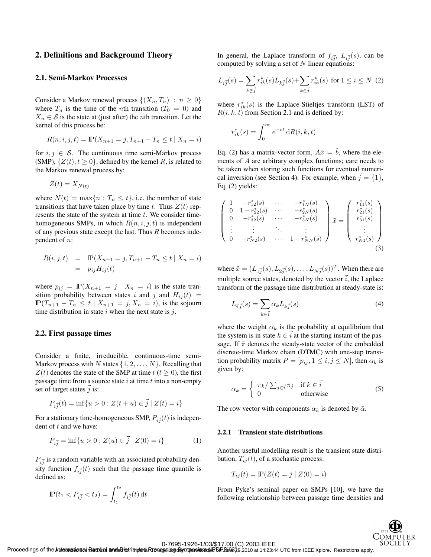## **2. Definitions and Background Theory**

#### **2.1. Semi-Markov Processes**

Consider a Markov renewal process  $\{(X_n, T_n) : n \geq 0\}$ where  $T_n$  is the time of the *n*th transition ( $T_0 = 0$ ) and  $X_n \in S$  is the state at (just after) the *n*th transition. Let the kernel of this process be:

$$
R(n, i, j, t) = \mathbb{P}(X_{n+1} = j, T_{n+1} - T_n \le t | X_n = i)
$$

for  $i, j \in S$ . The continuous time semi-Markov process (SMP),  $\{Z(t), t \geq 0\}$ , defined by the kernel *R*, is related to the Markov renewal process by:

$$
Z(t) = X_{N(t)}
$$

where  $N(t) = \max\{n : T_n \leq t\}$ , i.e. the number of state transitions that have taken place by time  $t$ . Thus  $Z(t)$  represents the state of the system at time *t*. We consider timehomogeneous SMPs, in which *R*(*n, i, j, t*) is independent of any previous state except the last. Thus *R* becomes independent of *n*:

$$
R(i, j, t) = \mathbb{P}(X_{n+1} = j, T_{n+1} - T_n \le t | X_n = i)
$$
  
=  $p_{ij} H_{ij}(t)$ 

where  $p_{ij} = \mathbb{P}(X_{n+1} = j | X_n = i)$  is the state transition probability between states *i* and *j* and  $H_{ii}(t)$  =  $\mathbb{P}(T_{n+1} - T_n \leq t \mid X_{n+1} = j, X_n = i)$ , is the sojourn time distribution in state *i* when the next state is *j*.

#### **2.2. First passage times**

Consider a finite, irreducible, continuous-time semi-Markov process with *N* states  $\{1, 2, \ldots, N\}$ . Recalling that  $Z(t)$  denotes the state of the SMP at time  $t$  ( $t \geq 0$ ), the first passage time from a source state *i* at time *t* into a non-empty set of target states *j* is:

$$
P_{i\vec{j}}(t) = \inf\{u > 0 : Z(t+u) \in \vec{j} \mid Z(t) = i\}
$$

For a stationary time-homogeneous SMP,  $P_{i\vec{j}}(t)$  is independent of *t* and we have:

$$
P_{i\vec{j}} = \inf\{u > 0 : Z(u) \in \vec{j} \mid Z(0) = i\}
$$
 (1)

 $P_{i\vec{j}}$  is a random variable with an associated probability density function  $f_{i\vec{j}}(t)$  such that the passage time quantile is defined as:

$$
\mathbb{P}(t_1 < P_{i\vec{j}} < t_2) = \int_{t_1}^{t_2} f_{i\vec{j}}(t) \, \mathrm{d}t
$$

In general, the Laplace transform of  $f_{i\vec{j}}$ ,  $L_{i\vec{j}}(s)$ , can be computed by solving a set of *N* linear equations:

$$
L_{i\vec{j}}(s) = \sum_{k \notin \vec{j}} r_{ik}^*(s) L_{k\vec{j}}(s) + \sum_{k \in \vec{j}} r_{ik}^*(s) \text{ for } 1 \le i \le N \text{ (2)}
$$

where  $r_{ik}^*(s)$  is the Laplace-Stieltjes transform (LST) of  $R(i, k, t)$  from Section 2.1 and is defined by:

$$
r_{ik}^*(s) = \int_0^\infty e^{-st} \, dR(i, k, t)
$$

Eq. (2) has a matrix-vector form,  $A\tilde{x} = \tilde{b}$ , where the elements of *A* are arbitrary complex functions; care needs to be taken when storing such functions for eventual numerical inversion (see Section 4). For example, when  $\vec{j} = \{1\}$ , Eq. (2) yields:

$$
\begin{pmatrix}\n1 & -r_{12}^{*}(s) & \cdots & -r_{1N}^{*}(s) \\
0 & 1 - r_{22}^{*}(s) & \cdots & -r_{2N}^{*}(s) \\
0 & -r_{32}^{*}(s) & \cdots & -r_{3N}^{*}(s) \\
\vdots & \vdots & \ddots & \vdots \\
0 & -r_{N2}^{*}(s) & \cdots & 1 - r_{NN}^{*}(s)\n\end{pmatrix}\n\tilde{x} = \begin{pmatrix}\nr_{11}^{*}(s) \\
r_{21}^{*}(s) \\
\vdots \\
r_{31}^{*}(s) \\
\vdots \\
r_{N1}^{*}(s)\n\end{pmatrix}
$$
\n(3)

where  $\tilde{x} = (L_{1i}(s), L_{2i}(s), \ldots, L_{Ni}(s))^T$ . When there are multiple source states, denoted by the vector  $\vec{i}$ , the Laplace transform of the passage time distribution at steady-state is:

$$
L_{\vec{i}\,\vec{j}}(s) = \sum_{k \in \vec{i}} \alpha_k L_{k\vec{j}}(s) \tag{4}
$$

where the weight  $\alpha_k$  is the probability at equilibrium that the system is in state  $k \in \mathcal{I}$  at the starting instant of the passage. If *π*˜ denotes the steady-state vector of the embedded discrete-time Markov chain (DTMC) with one-step transition probability matrix  $P = [p_{ij}, 1 \le i, j \le N]$ , then  $\alpha_k$  is given by:

$$
\alpha_k = \begin{cases} \pi_k / \sum_{j \in \vec{i}} \pi_j & \text{if } k \in \vec{i} \\ 0 & \text{otherwise} \end{cases}
$$
 (5)

The row vector with components  $\alpha_k$  is denoted by  $\tilde{\alpha}$ .

#### **2.2.1 Transient state distributions**

Another useful modelling result is the transient state distribution,  $T_{ij}(t)$ , of a stochastic process:

$$
T_{ij}(t) = \mathbb{P}(Z(t) = j \mid Z(0) = i)
$$

From Pyke's seminal paper on SMPs [10], we have the following relationship between passage time densities and

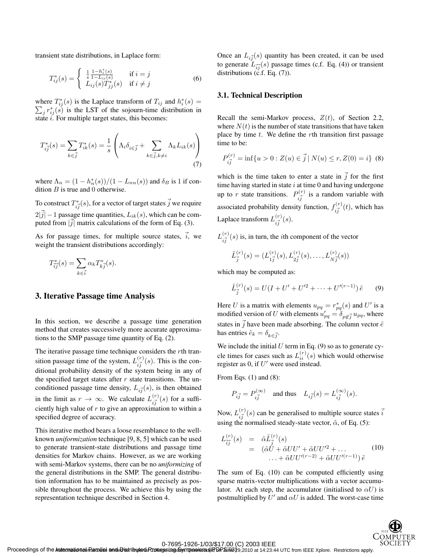transient state distributions, in Laplace form:

$$
T_{ij}^*(s) = \begin{cases} \frac{1}{s} \frac{1 - h_i^*(s)}{1 - L_{ii}(s)} & \text{if } i = j \\ L_{ij}(s) T_{jj}^*(s) & \text{if } i \neq j \end{cases}
$$
 (6)

where  $T_{ij}^*(s)$  is the Laplace transform of  $T_{ij}$  and  $h_i^*(s) =$  $\sum_j r_{ij}^*(s)$  is the LST of the sojourn-time distribution in state *i*. For multiple target states, this becomes:

$$
T_{i\vec{j}}^*(s) = \sum_{k \in \vec{j}} T_{ik}^*(s) = \frac{1}{s} \left( \Lambda_i \delta_{i \in \vec{j}} + \sum_{k \in \vec{j}, k \neq i} \Lambda_k L_{ik}(s) \right)
$$
\n(7)

where  $\Lambda_n = (1 - h_n^*(s))/(1 - L_{nn}(s))$  and  $\delta_B$  is 1 if condition *B* is true and 0 otherwise.

To construct  $T_{i\bar{j}}^{*}(s)$ , for a vector of target states  $\vec{j}$  we require  $2|\vec{j}| - 1$  passage time quantities,  $L_{ik}(s)$ , which can be computed from  $|\vec{j}|$  matrix calculations of the form of Eq. (3).

As for passage times, for multiple source states,  $\vec{i}$ , we weight the transient distributions accordingly:

$$
T_{\vec{i}\vec{j}}^*(s) = \sum_{k \in \vec{i}} \alpha_k T_{k\vec{j}}^*(s).
$$

## **3. Iterative Passage time Analysis**

In this section, we describe a passage time generation method that creates successively more accurate approximations to the SMP passage time quantity of Eq. (2).

The iterative passage time technique considers the *r*th transition passage time of the system,  $L_{i\vec{j}}^{(r)}(s)$ . This is the conditional probability density of the system being in any of the specified target states after *r* state transitions. The unconditioned passage time density,  $L_{i\vec{j}}(s)$ , is then obtained in the limit as  $r \to \infty$ . We calculate  $L_{i\vec{j}}^{(r)}(s)$  for a sufficiently high value of *r* to give an approximation to within a specified degree of accuracy.

This iterative method bears a loose resemblance to the wellknown *uniformization* technique [9, 8, 5] which can be used to generate transient-state distributions and passage time densities for Markov chains. However, as we are working with semi-Markov systems, there can be no *uniformizing* of the general distributions in the SMP. The general distribution information has to be maintained as precisely as possible throughout the process. We achieve this by using the representation technique described in Section 4.

Once an  $L_{i\vec{i}}(s)$  quantity has been created, it can be used to generate  $L_{\vec{i}}(s)$  passage times (c.f. Eq. (4)) or transient distributions (c.f. Eq. (7)).

## **3.1. Technical Description**

Recall the semi-Markov process, *Z*(*t*), of Section 2.2, where  $N(t)$  is the number of state transitions that have taken place by time *t*. We define the *r*th transition first passage time to be:

$$
P_{i\vec{j}}^{(r)} = \inf\{u > 0 : Z(u) \in \vec{j} \mid N(u) \le r, Z(0) = i\} \tag{8}
$$

which is the time taken to enter a state in  $\vec{j}$  for the first time having started in state *i* at time 0 and having undergone up to *r* state transitions.  $P_{i\vec{j}}^{(r)}$  is a random variable with associated probability density function,  $f_{i\vec{j}}^{(r)}(t)$ , which has Laplace transform  $L_{i\vec{j}}^{(r)}(s)$ .

 $L_{i\vec{j}}^{(r)}(s)$  is, in turn, the *i*th component of the vector

$$
\tilde{L}_{\vec{j}}^{(r)}(s) = (L_{1\vec{j}}^{(r)}(s), L_{2\vec{j}}^{(r)}(s), \dots, L_{N\vec{j}}^{(r)}(s))
$$

which may be computed as:

$$
\tilde{L}^{(r)}_{\vec{j}}(s) = U(I + U' + U'^2 + \dots + U'^{(r-1)})\,\tilde{e} \qquad (9)
$$

Here *U* is a matrix with elements  $u_{pq} = r_{pq}^*(s)$  and *U'* is a modified version of *U* with elements  $u'_{pq} = \delta_{p \notin \vec{j}} u_{pq}$ , where states in  $\vec{j}$  have been made absorbing. The column vector  $\tilde{e}$ has entries  $\tilde{e}_k = \delta_{k \in \vec{i}}$ .

We include the initial  $U$  term in Eq. (9) so as to generate cycle times for cases such as  $L_{ii}^{(r)}(s)$  which would otherwise register as 0, if U' were used instead.

From Eqs. (1) and (8):

$$
P_{i\vec{j}} = P_{i\vec{j}}^{(\infty)} \quad \text{and thus} \quad L_{i\vec{j}}(s) = L_{i\vec{j}}^{(\infty)}(s).
$$

Now,  $L_{i\bar{j}}^{(r)}(s)$  can be generalised to multiple source states  $\bar{i}$ using the normalised steady-state vector,  $\tilde{\alpha}$ , of Eq. (5):

$$
L_{\tilde{i}\tilde{j}}^{(r)}(s) = \tilde{\alpha} \tilde{L}_{\tilde{j}}^{(r)}(s)
$$
  
=  $(\tilde{\alpha}U + \tilde{\alpha}UU' + \tilde{\alpha}UU'^2 + ...$   
 $... + \tilde{\alpha}UU'^{(r-2)} + \tilde{\alpha}UU'^{(r-1)}) \tilde{e}$  (10)

The sum of Eq. (10) can be computed efficiently using sparse matrix-vector multiplications with a vector accumulator. At each step, the accumulator (initialised to  $\alpha U$ ) is postmultiplied by  $U'$  and  $\alpha U$  is added. The worst-case time

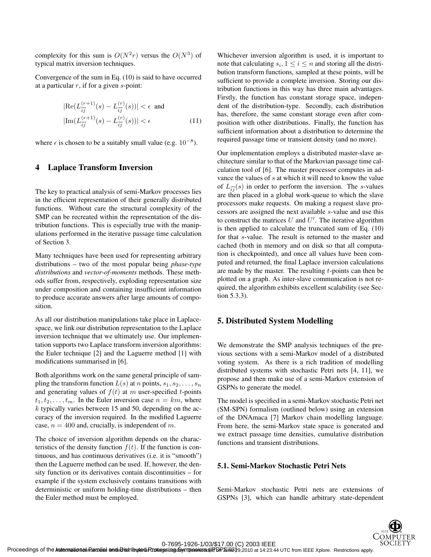complexity for this sum is  $O(N^2r)$  versus the  $O(N^3)$  of typical matrix inversion techniques.

Convergence of the sum in Eq. (10) is said to have occurred at a particular *r*, if for a given *s*-point:

$$
|\text{Re}(L_{\vec{i}\vec{j}}^{(r+1)}(s) - L_{\vec{i}\vec{j}}^{(r)}(s))| < \epsilon \text{ and}
$$
  
\n
$$
|\text{Im}(L_{\vec{i}\vec{j}}^{(r+1)}(s) - L_{\vec{i}\vec{j}}^{(r)}(s))| < \epsilon
$$
 (11)

where  $\epsilon$  is chosen to be a suitably small value (e.g. 10<sup>−8</sup>).

## **4 Laplace Transform Inversion**

The key to practical analysis of semi-Markov processes lies in the efficient representation of their generally distributed functions. Without care the structural complexity of the SMP can be recreated within the representation of the distribution functions. This is especially true with the manipulations performed in the iterative passage time calculation of Section 3.

Many techniques have been used for representing arbitrary distributions – two of the most popular being *phase-type distributions* and *vector-of-moments* methods. These methods suffer from, respectively, exploding representation size under composition and containing insufficient information to produce accurate answers after large amounts of composition.

As all our distribution manipulations take place in Laplacespace, we link our distribution representation to the Laplace inversion technique that we ultimately use. Our implementation supports two Laplace transform inversion algorithms: the Euler technique [2] and the Laguerre method [1] with modifications summarised in [6].

Both algorithms work on the same general principle of sampling the transform function  $L(s)$  at *n* points,  $s_1, s_2, \ldots, s_n$ and generating values of  $f(t)$  at *m* user-specified *t*-points  $t_1, t_2, \ldots, t_m$ . In the Euler inversion case  $n = km$ , where *k* typically varies between 15 and 50, depending on the accuracy of the inversion required. In the modified Laguerre case,  $n = 400$  and, crucially, is independent of m.

The choice of inversion algorithm depends on the characteristics of the density function  $f(t)$ . If the function is continuous, and has continuous derivatives (i.e. it is "smooth") then the Laguerre method can be used. If, however, the density function or its derivatives contain discontinuities – for example if the system exclusively contains transitions with deterministic or uniform holding-time distributions – then the Euler method must be employed.

Whichever inversion algorithm is used, it is important to note that calculating  $s_i$ ,  $1 \leq i \leq n$  and storing all the distribution transform functions, sampled at these points, will be sufficient to provide a complete inversion. Storing our distribution functions in this way has three main advantages. Firstly, the function has constant storage space, independent of the distribution-type. Secondly, each distribution has, therefore, the same constant storage even after composition with other distributions. Finally, the function has sufficient information about a distribution to determine the required passage time or transient density (and no more).

Our implementation employs a distributed master-slave architecture similar to that of the Markovian passage time calculation tool of [6]. The master processor computes in advance the values of *s* at which it will need to know the value of  $L_{\vec{i}}(s)$  in order to perform the inversion. The *s*-values are then placed in a global work-queue to which the slave processors make requests. On making a request slave processors are assigned the next available *s*-value and use this to construct the matrices *U* and *U* . The iterative algorithm is then applied to calculate the truncated sum of Eq. (10) for that *s*-value. The result is returned to the master and cached (both in memory and on disk so that all computation is checkpointed), and once all values have been computed and returned, the final Laplace inversion calculations are made by the master. The resulting *t*-points can then be plotted on a graph. As inter-slave communication is not required, the algorithm exhibits excellent scalability (see Section 5.3.3).

## **5. Distributed System Modelling**

We demonstrate the SMP analysis techniques of the previous sections with a semi-Markov model of a distributed voting system. As there is a rich tradition of modelling distributed systems with stochastic Petri nets [4, 11], we propose and then make use of a semi-Markov extension of GSPNs to generate the model.

The model is specified in a semi-Markov stochastic Petri net (SM-SPN) formalism (outlined below) using an extension of the DNAmaca [7] Markov chain modelling language. From here, the semi-Markov state space is generated and we extract passage time densities, cumulative distribution functions and transient distributions.

## **5.1. Semi-Markov Stochastic Petri Nets**

Semi-Markov stochastic Petri nets are extensions of GSPNs [3], which can handle arbitrary state-dependent



0-7695-1926-1/03/\$17.00 (C) 2003 IEEE Proceedings of the Anternationel Ratallst and Distributed Romagsing Composition of PDPS 08 29,2010 at 14:23:44 UTC from IEEE Xplore. Restrictions apply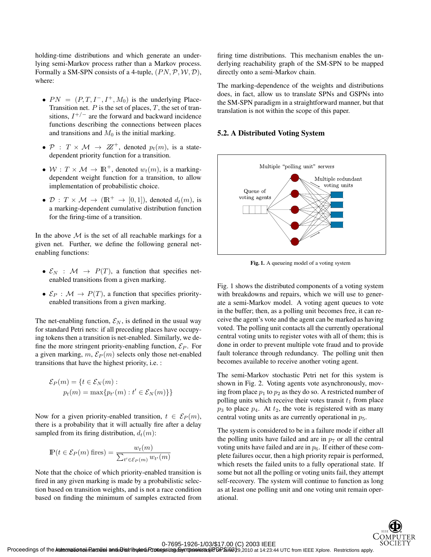holding-time distributions and which generate an underlying semi-Markov process rather than a Markov process. Formally a SM-SPN consists of a 4-tuple, (*PN,P, W, D*), where:

- $PN = (P, T, I^-, I^+, M_0)$  is the underlying Place-Transition net. *P* is the set of places, *T*, the set of transitions,  $I^{+/-}$  are the forward and backward incidence functions describing the connections between places and transitions and  $M_0$  is the initial marking.
- $P: T \times M \rightarrow \mathbb{Z}^+$ , denoted  $p_t(m)$ , is a statedependent priority function for a transition.
- $W: T \times \mathcal{M} \rightarrow \mathbb{R}^+$ , denoted  $w_t(m)$ , is a markingdependent weight function for a transition, to allow implementation of probabilistic choice.
- $\mathcal{D}: T \times \mathcal{M} \rightarrow (\mathbb{R}^+ \rightarrow [0,1]),$  denoted  $d_t(m)$ , is a marking-dependent cumulative distribution function for the firing-time of a transition.

In the above  $M$  is the set of all reachable markings for a given net. Further, we define the following general netenabling functions:

- $\mathcal{E}_N$  :  $\mathcal{M} \to P(T)$ , a function that specifies netenabled transitions from a given marking.
- $\mathcal{E}_P$  :  $\mathcal{M} \to P(T)$ , a function that specifies priorityenabled transitions from a given marking.

The net-enabling function,  $\mathcal{E}_N$ , is defined in the usual way for standard Petri nets: if all preceding places have occupying tokens then a transition is net-enabled. Similarly, we define the more stringent priority-enabling function,  $\mathcal{E}_P$ . For a given marking,  $m$ ,  $\mathcal{E}_P(m)$  selects only those net-enabled transitions that have the highest priority, i.e. :

$$
\mathcal{E}_P(m) = \{t \in \mathcal{E}_N(m) : \\ p_t(m) = \max\{p_{t'}(m) : t' \in \mathcal{E}_N(m)\}\}
$$

Now for a given priority-enabled transition,  $t \in \mathcal{E}_P(m)$ , there is a probability that it will actually fire after a delay sampled from its firing distribution,  $d_t(m)$ :

$$
\mathbb{P}(t \in \mathcal{E}_P(m) \text{ fires}) = \frac{w_t(m)}{\sum_{t' \in \mathcal{E}_P(m)} w_{t'}(m)}
$$

Note that the choice of which priority-enabled transition is fired in any given marking is made by a probabilistic selection based on transition weights, and is not a race condition based on finding the minimum of samples extracted from firing time distributions. This mechanism enables the underlying reachability graph of the SM-SPN to be mapped directly onto a semi-Markov chain.

The marking-dependence of the weights and distributions does, in fact, allow us to translate SPNs and GSPNs into the SM-SPN paradigm in a straightforward manner, but that translation is not within the scope of this paper.

## **5.2. A Distributed Voting System**



**Fig. 1.** A queueing model of a voting system

Fig. 1 shows the distributed components of a voting system with breakdowns and repairs, which we will use to generate a semi-Markov model. A voting agent queues to vote in the buffer; then, as a polling unit becomes free, it can receive the agent's vote and the agent can be marked as having voted. The polling unit contacts all the currently operational central voting units to register votes with all of them; this is done in order to prevent multiple vote fraud and to provide fault tolerance through redundancy. The polling unit then becomes available to receive another voting agent.

The semi-Markov stochastic Petri net for this system is shown in Fig. 2. Voting agents vote asynchronously, moving from place  $p_1$  to  $p_2$  as they do so. A restricted number of polling units which receive their votes transit  $t_1$  from place  $p_3$  to place  $p_4$ . At  $t_2$ , the vote is registered with as many central voting units as are currently operational in  $p_5$ .

The system is considered to be in a failure mode if either all the polling units have failed and are in  $p<sub>7</sub>$  or all the central voting units have failed and are in  $p<sub>6</sub>$ . If either of these complete failures occur, then a high priority repair is performed, which resets the failed units to a fully operational state. If some but not all the polling or voting units fail, they attempt self-recovery. The system will continue to function as long as at least one polling unit and one voting unit remain operational.

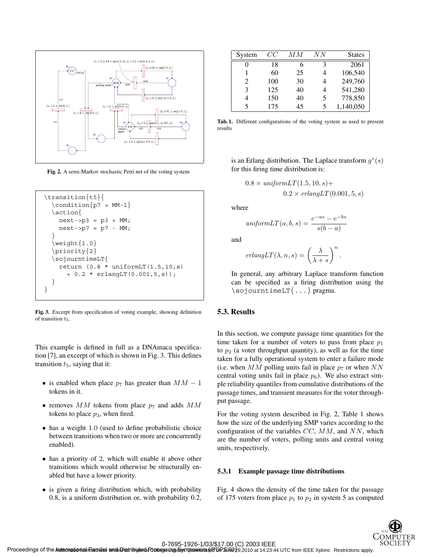

**Fig. 2.** A semi-Markov stochastic Petri net of the voting system

```
\transition{t5}{
  \{\text{condition}\} > MM-1}
  \action{
    next-p3 = p3 + MM;next-<sub>2</sub> p7 = p7 - MM;}
  \weight{1.0}
  \priority{2}
  \sojourntimeLT{
    return (0.8 * uniformLT(1.5, 10, s)+ 0.2 * erlangLT(0.001,5,s));
  }
}
```
**Fig. 3.** Excerpt from specification of voting example, showing definition of transition *t*5.

This example is defined in full as a DNAmaca specification [7], an excerpt of which is shown in Fig. 3. This defines transition  $t_5$ , saying that it:

- *•* is enabled when place *p*<sup>7</sup> has greater than *MM −* 1 tokens in it.
- removes *MM* tokens from place  $p_7$  and adds *MM* tokens to place  $p_3$ , when fired.
- *•* has a weight 1*.*0 (used to define probabilistic choice between transitions when two or more are concurrently enabled).
- *•* has a priority of 2, which will enable it above other transitions which would otherwise be structurally enabled but have a lower priority.
- *•* is given a firing distribution which, with probability 0.8, is a uniform distribution or, with probability 0.2,

| System | CC  |    | NN | <b>States</b> |
|--------|-----|----|----|---------------|
|        | 18  |    | 3  | 2061          |
|        | 60  | 25 |    | 106,540       |
| 2      | 100 | 30 |    | 249,760       |
| 3      | 125 | 40 |    | 541,280       |
| 4      | 150 | 40 | 5  | 778,850       |
| 5      | 175 | 45 |    | 1,140,050     |

**Tab. 1.** Different configurations of the voting system as used to present results

is an Erlang distribution. The Laplace transform *g∗*(*s*) for this firing time distribution is:

$$
0.8 \times uniformLT(1.5, 10, s) +
$$
  

$$
0.2 \times erlangLT(0.001, 5, s)
$$

where

$$
uniformLT(a, b, s) = \frac{e^{-as} - e^{-bs}}{s(b - a)}
$$

and

$$
erlangLT(\lambda, n, s) = \left(\frac{\lambda}{\lambda + s}\right)^n
$$

In general, any arbitrary Laplace transform function can be specified as a firing distribution using the \sojourntimeLT{...} pragma.

*.*

## **5.3. Results**

In this section, we compute passage time quantities for the time taken for a number of voters to pass from place  $p_1$ to  $p_2$  (a voter throughput quantity), as well as for the time taken for a fully operational system to enter a failure mode (i.e. when  $MM$  polling units fail in place  $p_7$  or when  $NN$ central voting units fail in place  $p_6$ ). We also extract simple reliability quantiles from cumulative distributions of the passage times, and transient measures for the voter throughput passage.

For the voting system described in Fig. 2, Table 1 shows how the size of the underlying SMP varies according to the configuration of the variables *CC*, *MM*, and *NN*, which are the number of voters, polling units and central voting units, respectively.

#### **5.3.1 Example passage time distributions**

Fig. 4 shows the density of the time taken for the passage of 175 voters from place  $p_1$  to  $p_2$  in system 5 as computed

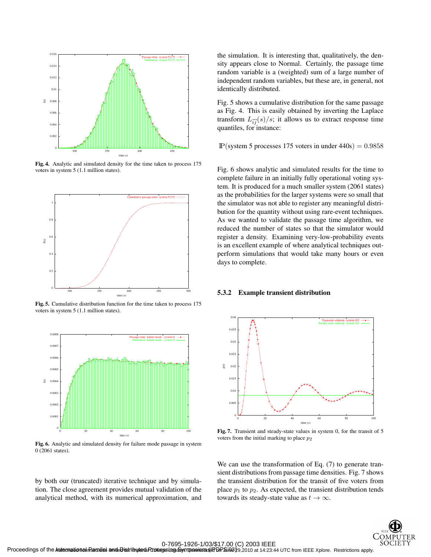

**Fig. 4.** Analytic and simulated density for the time taken to process 175 voters in system 5 (1.1 million states).



**Fig. 5.** Cumulative distribution function for the time taken to process 175 voters in system 5 (1.1 million states).



**Fig. 6.** Analytic and simulated density for failure mode passage in system 0 (2061 states).

by both our (truncated) iterative technique and by simulation. The close agreement provides mutual validation of the analytical method, with its numerical approximation, and the simulation. It is interesting that, qualitatively, the density appears close to Normal. Certainly, the passage time random variable is a (weighted) sum of a large number of independent random variables, but these are, in general, not identically distributed.

Fig. 5 shows a cumulative distribution for the same passage as Fig. 4. This is easily obtained by inverting the Laplace transform  $L_{\vec{i}\vec{j}}(s)/s$ ; it allows us to extract response time quantiles, for instance:

IP(system 5 processes 175 voters in under  $440s$ ) = 0.9858

Fig. 6 shows analytic and simulated results for the time to complete failure in an initially fully operational voting system. It is produced for a much smaller system (2061 states) as the probabilities for the larger systems were so small that the simulator was not able to register any meaningful distribution for the quantity without using rare-event techniques. As we wanted to validate the passage time algorithm, we reduced the number of states so that the simulator would register a density. Examining very-low-probability events is an excellent example of where analytical techniques outperform simulations that would take many hours or even days to complete.

#### **5.3.2 Example transient distribution**



**Fig. 7.** Transient and steady-state values in system 0, for the transit of 5 voters from the initial marking to place *p*2

We can use the transformation of Eq.  $(7)$  to generate transient distributions from passage time densities. Fig. 7 shows the transient distribution for the transit of five voters from place  $p_1$  to  $p_2$ . As expected, the transient distribution tends towards its steady-state value as  $t \to \infty$ .



0-7695-1926-1/03/\$17.00 (C) 2003 IEEE